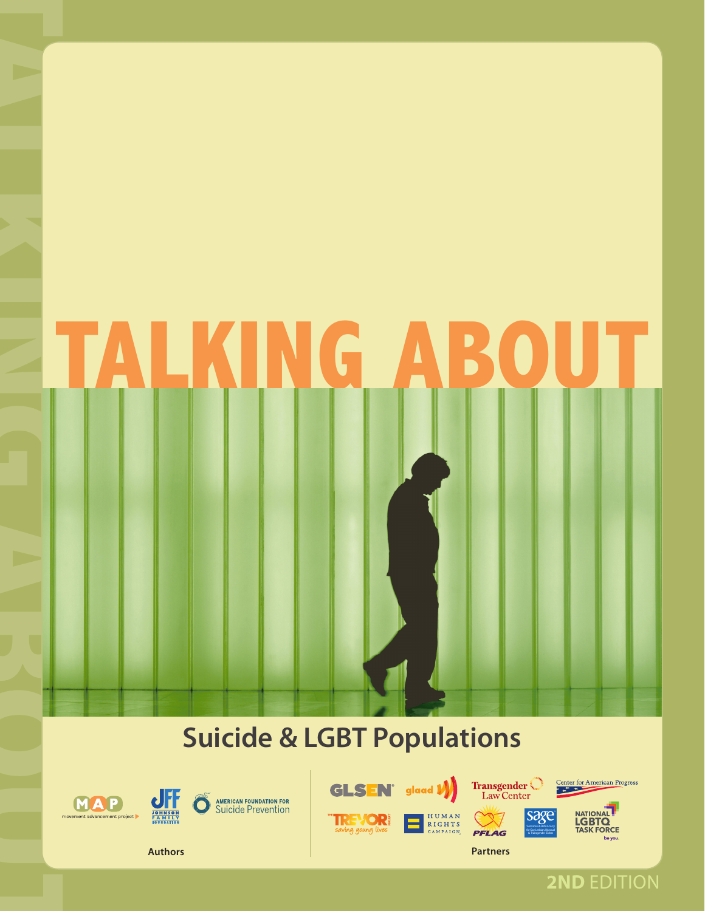# TALKING ABOUT

# **Suicide & LGBT Populations**









& Transgender Elders



**Authors Partners**

**2ND** EDITION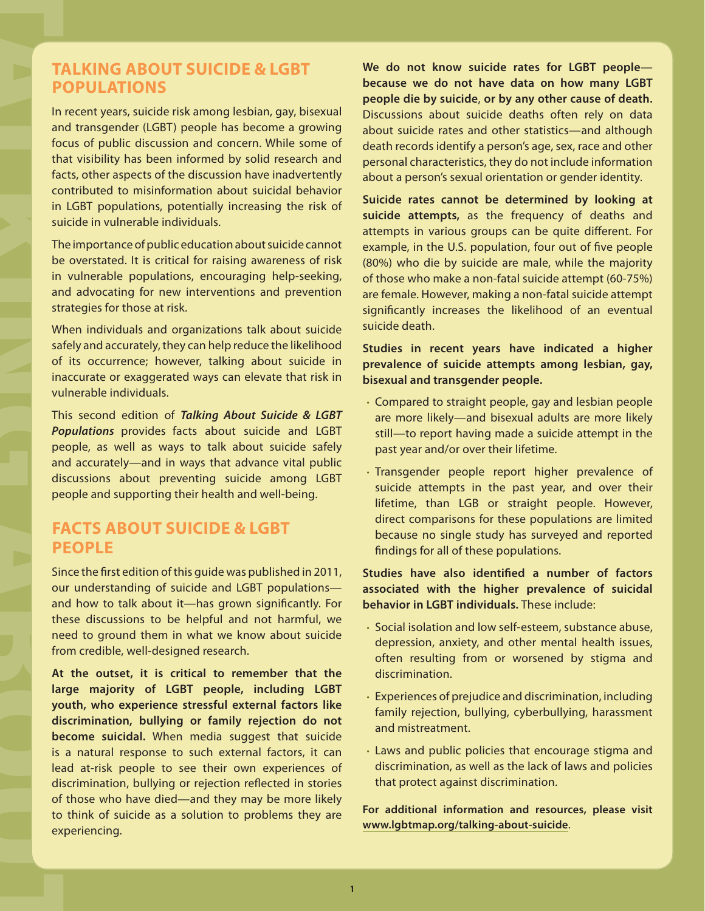## **TALKING ABOUT SUICIDE & LGBT POPULATIONS**

In recent years, suicide risk among lesbian, gay, bisexual and transgender (LGBT) people has become a growing focus of public discussion and concern. While some of that visibility has been informed by solid research and facts, other aspects of the discussion have inadvertently contributed to misinformation about suicidal behavior in LGBT populations, potentially increasing the risk of suicide in vulnerable individuals.

The importance of public education about suicide cannot be overstated. It is critical for raising awareness of risk in vulnerable populations, encouraging help-seeking, and advocating for new interventions and prevention strategies for those at risk.

When individuals and organizations talk about suicide safely and accurately, they can help reduce the likelihood of its occurrence; however, talking about suicide in inaccurate or exaggerated ways can elevate that risk in vulnerable individuals.

This second edition of *Talking About Suicide & LGBT Populations* provides facts about suicide and LGBT people, as well as ways to talk about suicide safely and accurately—and in ways that advance vital public discussions about preventing suicide among LGBT people and supporting their health and well-being.

# **FACTS ABOUT SUICIDE & LGBT PEOPLE**

Since the first edition of this guide was published in 2011, our understanding of suicide and LGBT populations and how to talk about it—has grown significantly. For these discussions to be helpful and not harmful, we need to ground them in what we know about suicide from credible, well-designed research.

TALKING ABOUT A LATANG ABOUT A LATANG ABOUT A LATANG ABOUT A LATANG ABOUT A LATANG ABOUT A LATANG ABOUT A LATANG ABOUT A LATANG ABOUT A LATANG ABOUT A LATANG ABOUT A LATANG ABOUT A LATANG ABOUT A LATANG ABOUT A LATANG ABOU **At the outset, it is critical to remember that the large majority of LGBT people, including LGBT youth, who experience stressful external factors like discrimination, bullying or family rejection do not become suicidal.** When media suggest that suicide is a natural response to such external factors, it can lead at-risk people to see their own experiences of discrimination, bullying or rejection reflected in stories of those who have died—and they may be more likely to think of suicide as a solution to problems they are experiencing.

**We do not know suicide rates for LGBT people because we do not have data on how many LGBT people die by suicide**, **or by any other cause of death.**  Discussions about suicide deaths often rely on data about suicide rates and other statistics—and although death records identify a person's age, sex, race and other personal characteristics, they do not include information about a person's sexual orientation or gender identity.

**Suicide rates cannot be determined by looking at suicide attempts,** as the frequency of deaths and attempts in various groups can be quite different. For example, in the U.S. population, four out of five people (80%) who die by suicide are male, while the majority of those who make a non-fatal suicide attempt (60-75%) are female. However, making a non-fatal suicide attempt significantly increases the likelihood of an eventual suicide death.

### **Studies in recent years have indicated a higher prevalence of suicide attempts among lesbian, gay, bisexual and transgender people.**

- Compared to straight people, gay and lesbian people are more likely—and bisexual adults are more likely still—to report having made a suicide attempt in the past year and/or over their lifetime.
- Transgender people report higher prevalence of suicide attempts in the past year, and over their lifetime, than LGB or straight people. However, direct comparisons for these populations are limited because no single study has surveyed and reported findings for all of these populations.

### **Studies have also identified a number of factors associated with the higher prevalence of suicidal behavior in LGBT individuals.** These include:

- Social isolation and low self-esteem, substance abuse, depression, anxiety, and other mental health issues, often resulting from or worsened by stigma and discrimination.
- Experiences of prejudice and discrimination, including family rejection, bullying, cyberbullying, harassment and mistreatment.
- Laws and public policies that encourage stigma and discrimination, as well as the lack of laws and policies that protect against discrimination.

**For additional information and resources, please visit [www.lgbtmap.org/talking-about-suicide](http://www.lgbtmap.org/talking-about-suicide)**.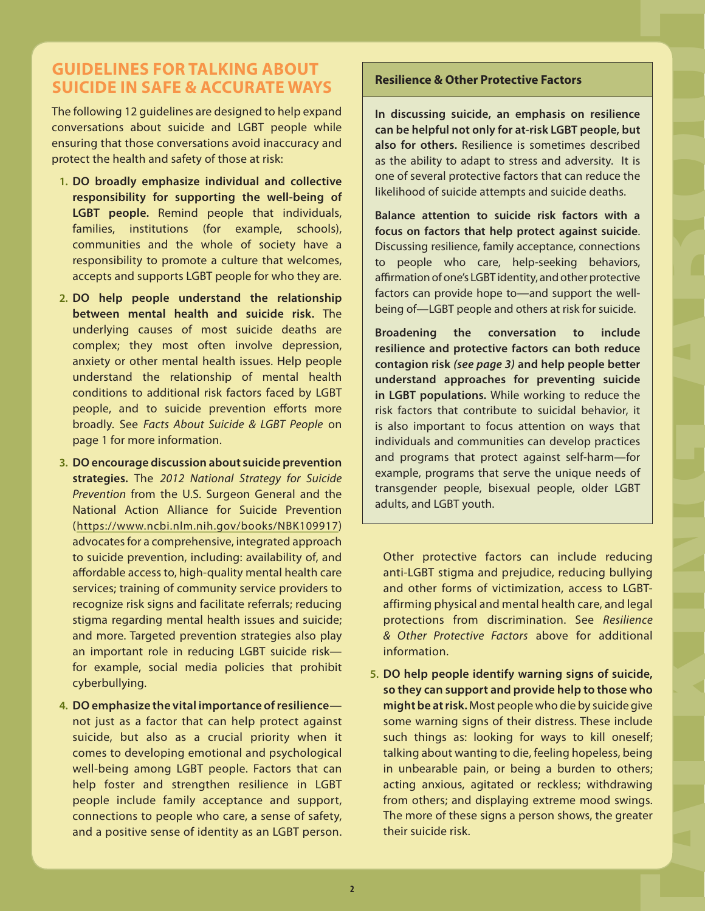# **GUIDELINES FOR TALKING ABOUT SUICIDE IN SAFE & ACCURATE WAYS**

The following 12 guidelines are designed to help expand conversations about suicide and LGBT people while ensuring that those conversations avoid inaccuracy and protect the health and safety of those at risk:

- **1. DO broadly emphasize individual and collective responsibility for supporting the well-being of LGBT people.** Remind people that individuals, families, institutions (for example, schools), communities and the whole of society have a responsibility to promote a culture that welcomes, accepts and supports LGBT people for who they are.
- **2. DO help people understand the relationship between mental health and suicide risk.** The underlying causes of most suicide deaths are complex; they most often involve depression, anxiety or other mental health issues. Help people understand the relationship of mental health conditions to additional risk factors faced by LGBT people, and to suicide prevention efforts more broadly. See *Facts About Suicide & LGBT People* on page 1 for more information.
- **3. DO encourage discussion about suicide prevention strategies.** The *2012 National Strategy for Suicide Prevention* from the U.S. Surgeon General and the National Action Alliance for Suicide Prevention ([https://www.ncbi.nlm.nih.gov/books/NBK109917\)](https://www.ncbi.nlm.nih.gov/books/NBK109917) advocates for a comprehensive, integrated approach to suicide prevention, including: availability of, and affordable access to, high-quality mental health care services; training of community service providers to recognize risk signs and facilitate referrals; reducing stigma regarding mental health issues and suicide; and more. Targeted prevention strategies also play an important role in reducing LGBT suicide risk for example, social media policies that prohibit cyberbullying.
- **4. DO emphasize the vital importance of resilience** not just as a factor that can help protect against suicide, but also as a crucial priority when it comes to developing emotional and psychological well-being among LGBT people. Factors that can help foster and strengthen resilience in LGBT people include family acceptance and support, connections to people who care, a sense of safety, and a positive sense of identity as an LGBT person.

### **Resilience & Other Protective Factors**

**In discussing suicide, an emphasis on resilience can be helpful not only for at-risk LGBT people, but also for others.** Resilience is sometimes described as the ability to adapt to stress and adversity. It is one of several protective factors that can reduce the likelihood of suicide attempts and suicide deaths.

**Balance attention to suicide risk factors with a focus on factors that help protect against suicide**. Discussing resilience, family acceptance, connections to people who care, help-seeking behaviors, affirmation of one's LGBT identity, and other protective factors can provide hope to—and support the wellbeing of—LGBT people and others at risk for suicide.

**Broadening the conversation to include resilience and protective factors can both reduce contagion risk** *(see page 3)* **and help people better understand approaches for preventing suicide in LGBT populations.** While working to reduce the risk factors that contribute to suicidal behavior, it is also important to focus attention on ways that individuals and communities can develop practices and programs that protect against self-harm—for example, programs that serve the unique needs of transgender people, bisexual people, older LGBT adults, and LGBT youth.

Other protective factors can include reducing anti-LGBT stigma and prejudice, reducing bullying and other forms of victimization, access to LGBTaffirming physical and mental health care, and legal protections from discrimination. See *Resilience & Other Protective Factors* above for additional information.

TALKING ABOUT A TALK A TALK A TALK A TALK A TALK A TALK A TALK A TALK A TALK A TALK A TALK A TALK A TALK A TALK A TALK A TALK A TALK A TALK A TALK A TALK A TALK A TALK A TALK A TALK A TALK A TALK A TALK A TALK A TALK A TAL **5. DO help people identify warning signs of suicide, so they can support and provide help to those who might be at risk.** Most people who die by suicide give some warning signs of their distress. These include such things as: looking for ways to kill oneself; talking about wanting to die, feeling hopeless, being in unbearable pain, or being a burden to others; acting anxious, agitated or reckless; withdrawing from others; and displaying extreme mood swings. The more of these signs a person shows, the greater their suicide risk.